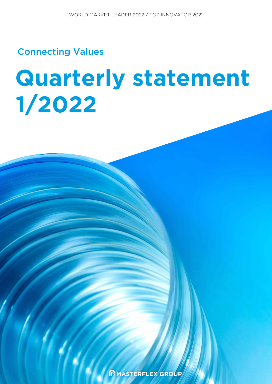Connecting Values

# **Quarterly statement 1/2022**

MASTERFLEX GROUP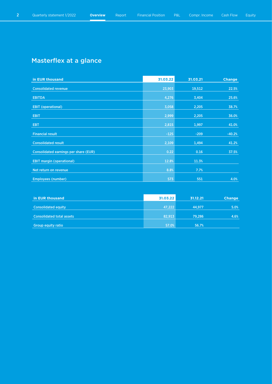# Masterflex at a glance

| in EUR thousand                              | 31.03.22 | 31.03.21 | <b>Change</b> |
|----------------------------------------------|----------|----------|---------------|
| <b>Consolidated revenue</b>                  | 23,903   | 19,512   | 22.5%         |
| <b>EBITDA</b>                                | 4,276    | 3,404    | 25.6%         |
|                                              |          |          |               |
| <b>EBIT (operational)</b>                    | 3,058    | 2,205    | 38.7%         |
| <b>EBIT</b>                                  | 2,999    | 2,205    | 36.0%         |
| <b>EBT</b>                                   | 2,815    | 1,997    | 41.0%         |
| <b>Financial result</b>                      | $-125$   | $-209$   | $-40.2%$      |
| <b>Consolidated result</b>                   | 2,109    | 1,494    | 41.2%         |
| <b>Consolidated earnings per share (EUR)</b> | 0.22     | 0.16     | 37.5%         |
| <b>EBIT margin (operational)</b>             | 12.8%    | 11.3%    |               |
| Net return on revenue                        | 8.8%     | 7.7%     |               |
| <b>Employees (number)</b>                    | 573      | 551      | 4.0%          |

| in EUR thousand                  | 31.03.22 | 31.12.21 | <b>Change</b> |
|----------------------------------|----------|----------|---------------|
| <b>Consolidated equity</b>       | 47,222   | 44.977   | 5.0%          |
| <b>Consolidated total assets</b> | 82.913   | 79.286   | 4.6%          |
| <b>Group equity ratio</b>        | 57.0%    | 56.7%    |               |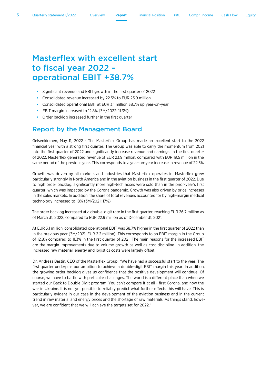# Masterflex with excellent start to fiscal year 2022 – operational EBIT +38.7%

- Significant revenue and EBIT growth in the first quarter of 2022
- Consolidated revenue increased by 22.5% to EUR 23.9 million
- Consolidated operational EBIT at EUR 3.1 million 38.7% up year-on-year
- EBIT margin increased to 12.8% (3M/2022: 11.3%)
- Order backlog increased further in the first quarter

#### Report by the Management Board

Gelsenkirchen, May 11, 2022 - The Masterflex Group has made an excellent start to the 2022 financial year with a strong first quarter. The Group was able to carry the momentum from 2021 into the first quarter of 2022 and significantly increase revenue and earnings. In the first quarter of 2022, Masterflex generated revenue of EUR 23.9 million, compared with EUR 19.5 million in the same period of the previous year. This corresponds to a year-on-year increase in revenue of 22.5%.

Growth was driven by all markets and industries that Masterflex operates in. Masterflex grew particularly strongly in North America and in the aviation business in the first quarter of 2022. Due to high order backlog, significantly more high-tech hoses were sold than in the prior-year's first quarter, which was impacted by the Corona pandemic. Growth was also driven by price increases in the sales markets. In addition, the share of total revenues accounted for by high-margin medical technology increased to 18% (3M/2021: 17%).

The order backlog increased at a double-digit rate in the first quarter, reaching EUR 26.7 million as of March 31, 2022, compared to EUR 22.9 million as of December 31, 2021.

At EUR 3.1 million, consolidated operational EBIT was 38.7% higher in the first quarter of 2022 than in the previous year (3M/2021: EUR 2.2 million). This corresponds to an EBIT margin in the Group of 12.8% compared to 11.3% in the first quarter of 2021. The main reasons for the increased EBIT are the margin improvements due to volume growth as well as cost discipline. In addition, the increased raw material, energy and logistics costs were largely offset.

Dr. Andreas Bastin, CEO of the Masterflex Group: "We have had a successful start to the year. The first quarter underpins our ambition to achieve a double-digit EBIT margin this year. In addition, the growing order backlog gives us confidence that the positive development will continue. Of course, we have to battle with particular challenges. The world is a different place than when we started our Back to Double Digit program. You can't compare it at all - first Corona, and now the war in Ukraine. It is not yet possible to reliably predict what further effects this will have. This is particularly evident in our case in the development of the aviation business and in the current trend in raw material and energy prices and the shortage of raw materials. As things stand, however, we are confident that we will achieve the targets set for 2022."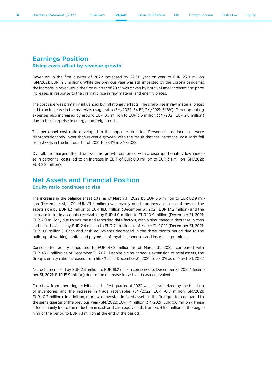4 Quarterly statement 1/2022 Overview **Report** Financial Position P&L Compr. Income Cash Flow Equity

#### Earnings Position Rising costs offset by revenue growth

Revenues in the first quarter of 2022 increased by 22.5% year-on-year to EUR 23.9 million (3M/2021: EUR 19.5 million). While the previous year was still impacted by the Corona pandemic, the increase in revenues in the first quarter of 2022 was driven by both volume increases and price increases in response to the dramatic rise in raw material and energy prices.

The cost side was primarily influenced by inflationary effects. The sharp rise in raw material prices led to an increase in the materials usage ratio (3M/2022: 34.1%; 3M/2021: 31.8%). Other operating expenses also increased by around EUR 0.7 million to EUR 3.6 million (3M/2021: EUR 2.8 million) due to the sharp rise in energy and freight costs.

The personnel cost ratio developed in the opposite direction. Personnel cost increases were disproportionately lower than revenue growth, with the result that the personnel cost ratio fell from 37.0% in the first quarter of 2021 to 33.1% in 3M/2022.

Overall, the margin effect from volume growth combined with a disproportionately low increase in personnel costs led to an increase in EBIT of EUR 0.9 million to EUR 3.1 million (3M/2021: EUR 2.2 million).

#### Net Assets and Financial Position Equity ratio continues to rise

The increase in the balance sheet total as of March 31, 2022 by EUR 3.6 million to EUR 82.9 million (December 31, 2021: EUR 79.3 million) was mainly due to an increase in inventories on the assets side by EUR 1.3 million to EUR 18.6 million (December 31, 2021: EUR 17.2 million) and the increase in trade accounts receivable by EUR 4.0 million to EUR 10.9 million (December 31, 2021: EUR 7.0 million) due to volume and reporting date factors, with a simultaneous decrease in cash and bank balances by EUR 2.4 million to EUR 7.1 million as of March 31, 2022 (December 31, 2021: EUR 9.6 million ). Cash and cash equivalents decreased in the three-month period due to the build-up of working capital and payments of royalties, bonuses and insurance premiums.

Consolidated equity amounted to EUR 47.2 million as of March 31, 2022, compared with EUR 45.0 million as of December 31, 2021. Despite a simultaneous expansion of total assets, the Group's equity ratio increased from 56.7% as of December 31, 2021, to 57.0% as of March 31, 2022.

Net debt increased by EUR 2.3 million to EUR 18.2 million compared to December 31, 2021 (December 31, 2021: EUR 15.9 million) due to the decrease in cash and cash equivalents.

Cash flow from operating activities in the first quarter of 2022 was characterized by the build-up of inventories and the increase in trade receivables (3M/2022: EUR -0.8 million; 3M/2021: EUR -0.3 million). In addition, more was invested in fixed assets in the first quarter compared to the same quarter of the previous year (3M/2022: EUR 1.4 million; 3M/2021: EUR 0.6 million). These effects mainly led to the reduction in cash and cash equivalents from EUR 9.6 million at the beginning of the period to EUR 7.1 million at the end of the period.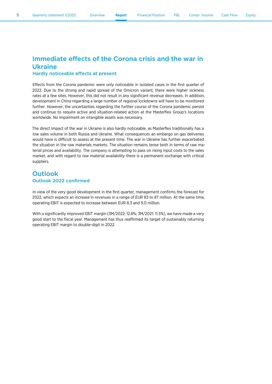### Immediate effects of the Corona crisis and the war in Ukraine

#### Hardly noticeable effects at present

Effects from the Corona pandemic were only noticeable in isolated cases in the first quarter of 2022. Due to the strong and rapid spread of the Omicron variant, there were higher sickness rates at a few sites. However, this did not result in any significant revenue decreases. In addition, development in China regarding a large number of regional lockdowns will have to be monitored further. However, the uncertainties regarding the further course of the Corona pandemic persist and continue to require active and situation-related action at the Masterflex Group's locations worldwide. No impairment on intangible assets was necessary.

The direct impact of the war in Ukraine is also hardly noticeable, as Masterflex traditionally has a low sales volume in both Russia and Ukraine. What consequences an embargo on gas deliveries would have is difficult to assess at the present time. The war in Ukraine has further exacerbated the situation in the raw materials markets. The situation remains tense both in terms of raw material prices and availability. The company is attempting to pass on rising input costs to the sales market, and with regard to raw material availability there is a permanent exchange with critical suppliers.

#### **Outlook** Outlook 2022 confirmed

In view of the very good development in the first quarter, management confirms the forecast for 2022, which expects an increase in revenues in a range of EUR 83 to 87 million. At the same time, operating EBIT is expected to increase between EUR 8.3 and 9.0 million.

With a significantly improved EBIT margin (3M/2022: 12.8%; 3M/2021: 11.3%), we have made a very good start to the fiscal year. Management has thus reaffirmed its target of sustainably returning operating EBIT margin to double-digit in 2022.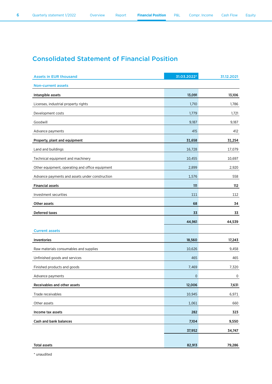# Consolidated Statement of Financial Position

| <b>Assets in EUR thousand</b>                   | 31.03.2022* | 31.12.2021 |
|-------------------------------------------------|-------------|------------|
| <b>Non-current assets</b>                       |             |            |
| Intangible assets                               | 13,091      | 13,106     |
| Licenses, industrial property rights            | 1,710       | 1,786      |
| Development costs                               | 1,779       | 1,721      |
| Goodwill                                        | 9,187       | 9,187      |
| Advance payments                                | 415         | 412        |
| Property, plant and equipment                   | 31,658      | 31,254     |
| Land and buildings                              | 16,728      | 17,079     |
| Technical equipment and machinery               | 10,455      | 10,697     |
| Other equipment, operating and office equipment | 2,899       | 2,920      |
| Advance payments and assets under construction  | 1,576       | 558        |
| <b>Financial assets</b>                         | 111         | 112        |
| Investment securities                           | 111         | 112        |
| Other assets                                    | 68          | 34         |
| <b>Deferred taxes</b>                           | 33          | 33         |
|                                                 | 44,961      | 44,539     |
| <b>Current assets</b>                           |             |            |
| Inventories                                     | 18,560      | 17,243     |
| Raw materials consumables and supplies          | 10,626      | 9,458      |
| Unfinished goods and services                   | 465         | 465        |
| Finished products and goods                     | 7,469       | 7,320      |
| Advance payments                                | $\mathbf 0$ | 0          |
| Receivables and other assets                    | 12,006      | 7,631      |
| Trade receivables                               | 10,945      | 6,971      |
| Other assets                                    | 1,061       | 660        |
| Income tax assets                               | 282         | 323        |
| Cash and bank balances                          | 7,104       | 9,550      |
|                                                 | 37,952      | 34,747     |
|                                                 |             |            |
| <b>Total assets</b>                             | 82,913      | 79,286     |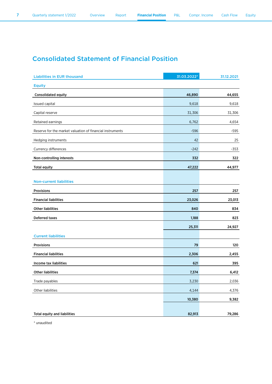# Consolidated Statement of Financial Position

| <b>Liabilities in EUR thousand</b>                        | 31.03.2022* | 31.12.2021 |
|-----------------------------------------------------------|-------------|------------|
| <b>Equity</b>                                             |             |            |
| Consolidated equity                                       | 46,890      | 44,655     |
| Issued capital                                            | 9,618       | 9,618      |
| Capital reserve                                           | 31,306      | 31,306     |
| Retained earnings                                         | 6,762       | 4,654      |
| Reserve for the market valuation of financial instruments | $-596$      | $-595$     |
| Hedging instruments                                       | 42          | 25         |
| Currency differences                                      | $-242$      | $-353$     |
| Non-controlling interests                                 | 332         | 322        |
| <b>Total equity</b>                                       | 47,222      | 44,977     |
|                                                           |             |            |
| <b>Non-current liabilities</b>                            |             |            |
| Provisions                                                | 257         | 257        |
| <b>Financial liabilities</b>                              | 23,026      | 23,013     |
| <b>Other liabilities</b>                                  | 840         | 834        |
| <b>Deferred taxes</b>                                     | 1,188       | 823        |
|                                                           | 25,311      | 24,927     |
| <b>Current liabilities</b>                                |             |            |
| Provisions                                                | 79          | 120        |
| <b>Financial liabilities</b>                              | 2,306       | 2,455      |
| Income tax liabilities                                    | 621         | 395        |
| <b>Other liabilities</b>                                  | 7,374       | 6,412      |
| Trade payables                                            | 3,230       | 2,036      |
| Other liabilities                                         | 4,144       | 4,376      |
|                                                           | 10,380      | 9,382      |
|                                                           |             |            |
| <b>Total equity and liabilities</b>                       | 82,913      | 79,286     |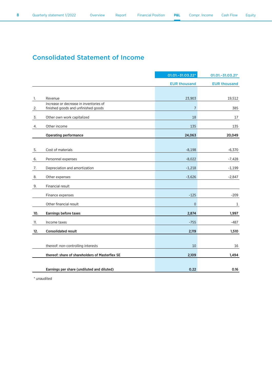## Consolidated Statement of Income

|     |                                                                               | 01.01.-31.03.22*    | 01.01.-31.03.21*    |
|-----|-------------------------------------------------------------------------------|---------------------|---------------------|
|     |                                                                               | <b>EUR thousand</b> | <b>EUR thousand</b> |
|     |                                                                               |                     |                     |
| 1.  | Revenue                                                                       | 23,903              | 19,512              |
| 2.  | Increase or decrease in inventories of<br>finished goods and unfinished goods | $\overline{7}$      | 385                 |
| 3.  | Other own work capitalized                                                    | 18                  | 17                  |
| 4.  | Other income                                                                  | 135                 | 135                 |
|     | <b>Operating performance</b>                                                  | 24,063              | 20,049              |
| 5.  | Cost of materials                                                             | $-8,198$            | $-6,370$            |
| 6.  | Personnel expenses                                                            | $-8,022$            | $-7,428$            |
| 7.  | Depreciation and amortization                                                 | $-1,218$            | $-1,199$            |
| 8.  | Other expenses                                                                | $-3,626$            | $-2,847$            |
| 9.  | Financial result                                                              |                     |                     |
|     | Finance expenses                                                              | $-125$              | $-209$              |
|     | Other financial result                                                        | $\overline{0}$      | 1                   |
| 10. | Earnings before taxes                                                         | 2,874               | 1,997               |
| 11. | Income taxes                                                                  | $-755$              | $-487$              |
| 12. | <b>Consolidated result</b>                                                    | 2,119               | 1,510               |
|     | thereof: non-controlling interests                                            | 10                  | 16                  |
|     | thereof: share of shareholders of Masterflex SE                               | 2,109               | 1,494               |
|     | Earnings per share (undiluted and diluted)                                    | 0.22                | 0.16                |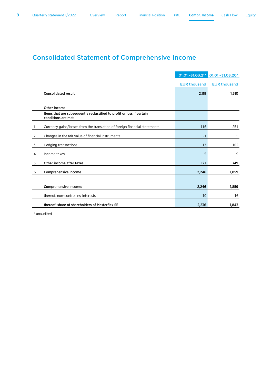# Consolidated Statement of Comprehensive Income

|    |                                                                                             | 01.01.-31.03.21*    | 01.01.-31.03.20*    |
|----|---------------------------------------------------------------------------------------------|---------------------|---------------------|
|    |                                                                                             | <b>EUR thousand</b> | <b>EUR thousand</b> |
|    | <b>Consolidated result</b>                                                                  | 2,119               | 1,510               |
|    |                                                                                             |                     |                     |
|    | Other income                                                                                |                     |                     |
|    | Items that are subsequently reclassified to profit or loss if certain<br>conditions are met |                     |                     |
| 1. | Currency gains/losses from the translation of foreign financial statements                  | 116                 | 251                 |
| 2. | Changes in the fair value of financial instruments                                          | $-1$                | 5                   |
| 3. | <b>Hedging transactions</b>                                                                 | 17                  | 102                 |
| 4. | Income taxes                                                                                | $-5$                | -9                  |
| 5. | Other income after taxes                                                                    | 127                 | 349                 |
| 6. | Comprehensive income                                                                        | 2,246               | 1,859               |
|    |                                                                                             |                     |                     |
|    | Comprehensive income:                                                                       | 2,246               | 1,859               |
|    | thereof: non-controlling interests                                                          | 10                  | 16                  |
|    | thereof: share of shareholders of Masterflex SE                                             | 2,236               | 1,843               |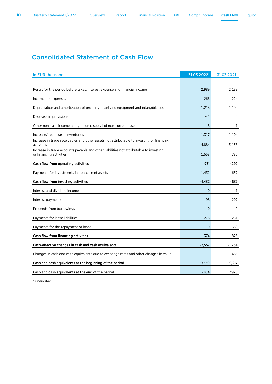## Consolidated Statement of Cash Flow

| in EUR thousand                                                                                                   | 31.03.2022*    | 31.03.2021* |
|-------------------------------------------------------------------------------------------------------------------|----------------|-------------|
|                                                                                                                   |                |             |
| Result for the period before taxes, interest expense and financial income                                         | 2,989          | 2,189       |
| Income tax expenses                                                                                               | $-266$         | $-224$      |
| Depreciation and amortization of property, plant and equipment and intangible assets                              | 1.218          | 1.199       |
| Decrease in provisions                                                                                            | -41            | 0           |
| Other non-cash income and gain on disposal of non-current assets                                                  | -8             | -1          |
| Increase/decrease in inventories                                                                                  | $-1,317$       | $-1,104$    |
| Increase in trade receivables and other assets not attributable to investing or financing<br>activities           | $-4,884$       | $-3,136$    |
| Increase in trade accounts payable and other liabilities not attributable to investing<br>or financing activities | 1,558          | 785         |
| Cash flow from operating activities                                                                               | $-751$         | -292        |
| Payments for investments in non-current assets                                                                    | $-1,432$       | -637        |
| Cash flow from investing activities                                                                               | $-1,432$       | -637        |
| Interest and dividend income                                                                                      | $\overline{0}$ | 1           |
| Interest payments                                                                                                 | $-98$          | $-207$      |
| Proceeds from borrowings                                                                                          | $\overline{0}$ | 0           |
| Payments for lease liabilities                                                                                    | $-276$         | $-251$      |
| Payments for the repayment of loans                                                                               | $\overline{0}$ | -368        |
| Cash flow from financing activities                                                                               | $-374$         | -825        |
| Cash-effective changes in cash and cash equivalents                                                               | $-2,557$       | $-1,754$    |
| Changes in cash and cash equivalents due to exchange rates and other changes in value                             | 111            | 465         |
| Cash and cash equivalents at the beginning of the period                                                          | 9,550          | 9,217       |
| Cash and cash equivalents at the end of the period                                                                | 7,104          | 7,928       |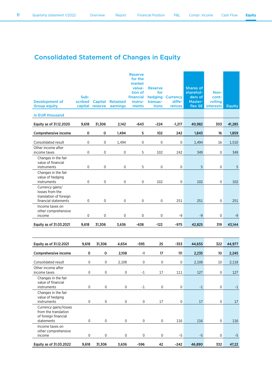# Consolidated Statement of Changes in Equity

| <b>Development of</b><br><b>Group equity</b>                                         | Sub-<br>scribed<br>capital | Capital<br>reserve  | <b>Retained</b><br>earnings | <b>Reserve</b><br>for the<br>market<br>valua-<br>tion of<br>financial<br>instru-<br>ments | <b>Reserve</b><br>for<br>hedging<br>transac-<br>tions | <b>Currency</b><br>diffe-<br>rences | <b>Shares of</b><br>sharehol-<br>ders of<br>Master-<br>flex SE | Non-<br>cont-<br>rolling<br><b>interests</b> | <b>Equity</b> |
|--------------------------------------------------------------------------------------|----------------------------|---------------------|-----------------------------|-------------------------------------------------------------------------------------------|-------------------------------------------------------|-------------------------------------|----------------------------------------------------------------|----------------------------------------------|---------------|
| in EUR thousand                                                                      |                            |                     |                             |                                                                                           |                                                       |                                     |                                                                |                                              |               |
| Equity as of 31.12.2020                                                              | 9,618                      | 31,306              | 2,142                       | $-643$                                                                                    | $-224$                                                | $-1,217$                            | 40,982                                                         | 303                                          | 41,285        |
| Comprehensive income                                                                 | 0                          | $\mathsf{o}\xspace$ | 1,494                       | 5                                                                                         | 102                                                   | 242                                 | 1,843                                                          | 16                                           | 1,859         |
| Consolidated result                                                                  | 0                          | 0                   | 1,494                       | 0                                                                                         | 0                                                     | 0                                   | 1,494                                                          | 16                                           | 1,510         |
| Other income after<br>income taxes                                                   | $\mathbf 0$                | 0                   | $\mathbf 0$                 | 5                                                                                         | 102                                                   | 242                                 | 349                                                            | $\mathbf 0$                                  | 349           |
| Changes in the fair<br>value of financial                                            |                            |                     |                             |                                                                                           |                                                       |                                     |                                                                |                                              |               |
| instruments<br>Changes in the fair<br>value of hedging                               | 0                          | 0                   | 0                           | 5                                                                                         | 0                                                     | 0                                   | 5                                                              | 0                                            | 5             |
| instruments                                                                          | 0                          | 0                   | $\mathbf 0$                 | $\pmb{0}$                                                                                 | 102                                                   | 0                                   | 102                                                            | 0                                            | 102           |
| Currency gains/<br>losses from the<br>translation of foreign<br>financial statements | 0                          | 0                   | $\mathbf 0$                 | 0                                                                                         | 0                                                     | 251                                 | 251                                                            | $\mathsf{O}\xspace$                          | 251           |
| Income taxes on<br>other comprehensive<br>income                                     | 0                          | 0                   | 0                           | 0                                                                                         | 0                                                     | -9                                  | $-9$                                                           | $\mathbf 0$                                  | -9            |
| Equity as of 31.03.2021                                                              | 9,618                      | 31,306              | 3,636                       | -638                                                                                      | -122                                                  | -975                                | 42,825                                                         | 319                                          | 43,144        |
|                                                                                      |                            |                     |                             |                                                                                           |                                                       |                                     |                                                                |                                              |               |
|                                                                                      |                            |                     |                             |                                                                                           |                                                       |                                     |                                                                |                                              |               |
| Equity as of 31.12.2021                                                              | 9,618                      | 31,306              | 4,654                       | $-595$                                                                                    | 25                                                    | $-353$                              | 44,655                                                         | 322                                          | 44,977        |
| Comprehensive income                                                                 | $\mathsf{o}\xspace$        | 0                   | 2,108                       | -1                                                                                        | 17                                                    | 111                                 | 2,235                                                          | 10                                           | 2,245         |
| Consolidated result<br>Other income after                                            | 0                          | 0                   | 2,108                       | 0                                                                                         | $\mathbf 0$                                           | 0                                   | 2,108                                                          | 10                                           | 2,118         |
| income taxes                                                                         | 0                          | $\mathbf 0$         | $\mathbf 0$                 | $-1$                                                                                      | 17                                                    | 111                                 | 127                                                            | 0                                            | 127           |
| Changes in the fair<br>value of financial<br>instruments                             | 0                          | $\mathbf 0$         | $\mathsf{O}\xspace$         | $^{\rm -1}$                                                                               | 0                                                     | 0                                   | $-1$                                                           | $\mathsf{O}\xspace$                          | $-1$          |
| Changes in the fair<br>value of hedging<br>instruments                               | $\pmb{0}$                  | $\mathsf{0}$        | $\mathsf{0}$                | 0                                                                                         | 17                                                    | 0                                   | 17                                                             | 0                                            | 17            |
| Currency gains/losses<br>from the translation<br>of foreign financial                |                            |                     |                             |                                                                                           |                                                       |                                     |                                                                |                                              |               |
| statements                                                                           | 0                          | $\mathsf{O}\xspace$ | $\mathsf{0}$                | $\mathsf{O}\xspace$                                                                       | $\mathsf{O}\xspace$                                   | 116                                 | 116                                                            | 0                                            | 116           |
| Income taxes on<br>other comprehensive<br>income                                     | 0                          | 0                   | $\pmb{0}$                   | $\pmb{0}$                                                                                 | 0                                                     | $-5$                                | $-5$                                                           | $\pmb{0}$                                    | $-5$          |
| Equity as of 31.03.2022                                                              | 9,618                      | 31,306              | 3,636                       | $-596$                                                                                    | 42                                                    | $-242$                              | 46,890                                                         | 332                                          | 47,22         |